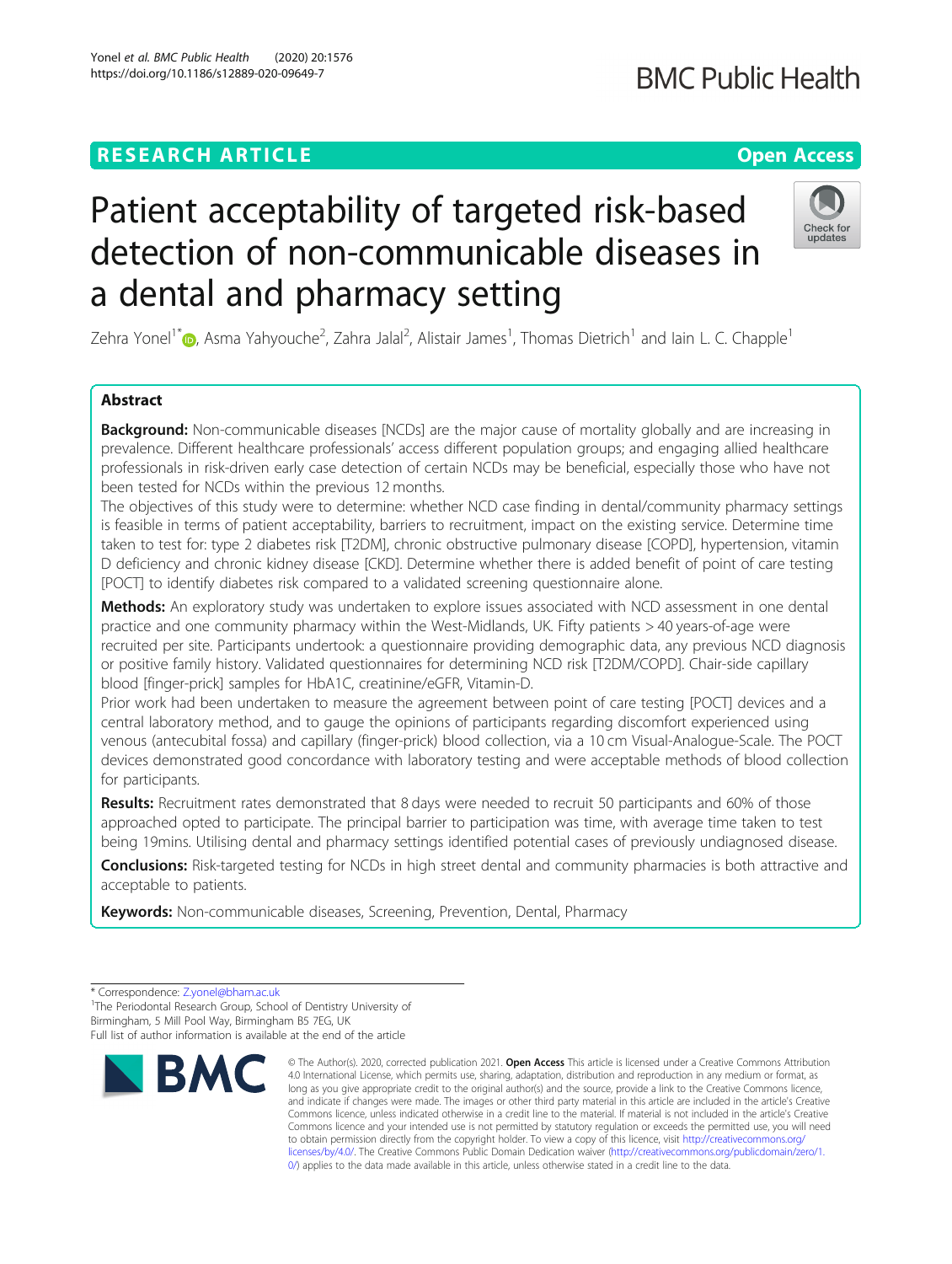# **RESEARCH ARTICLE Example 2014 12:30 The Contract of Contract ACCESS**

# Patient acceptability of targeted risk-based detection of non-communicable diseases in a dental and pharmacy setting

Zehra Yonel<sup>1\*</sup>®[,](http://orcid.org/0000-0002-5477-8315) Asma Yahyouche<sup>2</sup>, Zahra Jalal<sup>2</sup>, Alistair James<sup>1</sup>, Thomas Dietrich<sup>1</sup> and Iain L. C. Chapple<sup>1</sup>

# Abstract

**Background:** Non-communicable diseases [NCDs] are the major cause of mortality globally and are increasing in prevalence. Different healthcare professionals' access different population groups; and engaging allied healthcare professionals in risk-driven early case detection of certain NCDs may be beneficial, especially those who have not been tested for NCDs within the previous 12 months.

The objectives of this study were to determine: whether NCD case finding in dental/community pharmacy settings is feasible in terms of patient acceptability, barriers to recruitment, impact on the existing service. Determine time taken to test for: type 2 diabetes risk [T2DM], chronic obstructive pulmonary disease [COPD], hypertension, vitamin D deficiency and chronic kidney disease [CKD]. Determine whether there is added benefit of point of care testing [POCT] to identify diabetes risk compared to a validated screening questionnaire alone.

Methods: An exploratory study was undertaken to explore issues associated with NCD assessment in one dental practice and one community pharmacy within the West-Midlands, UK. Fifty patients > 40 years-of-age were recruited per site. Participants undertook: a questionnaire providing demographic data, any previous NCD diagnosis or positive family history. Validated questionnaires for determining NCD risk [T2DM/COPD]. Chair-side capillary blood [finger-prick] samples for HbA1C, creatinine/eGFR, Vitamin-D.

Prior work had been undertaken to measure the agreement between point of care testing [POCT] devices and a central laboratory method, and to gauge the opinions of participants regarding discomfort experienced using venous (antecubital fossa) and capillary (finger-prick) blood collection, via a 10 cm Visual-Analogue-Scale. The POCT devices demonstrated good concordance with laboratory testing and were acceptable methods of blood collection for participants.

Results: Recruitment rates demonstrated that 8 days were needed to recruit 50 participants and 60% of those approached opted to participate. The principal barrier to participation was time, with average time taken to test being 19mins. Utilising dental and pharmacy settings identified potential cases of previously undiagnosed disease.

Conclusions: Risk-targeted testing for NCDs in high street dental and community pharmacies is both attractive and acceptable to patients.

Keywords: Non-communicable diseases, Screening, Prevention, Dental, Pharmacy

<sup>1</sup>The Periodontal Research Group, School of Dentistry University of Birmingham, 5 Mill Pool Way, Birmingham B5 7EG, UK



<sup>©</sup> The Author(s). 2020, corrected publication 2021. Open Access This article is licensed under a Creative Commons Attribution 4.0 International License, which permits use, sharing, adaptation, distribution and reproduction in any medium or format, as long as you give appropriate credit to the original author(s) and the source, provide a link to the Creative Commons licence, and indicate if changes were made. The images or other third party material in this article are included in the article's Creative Commons licence, unless indicated otherwise in a credit line to the material. If material is not included in the article's Creative Commons licence and your intended use is not permitted by statutory regulation or exceeds the permitted use, you will need to obtain permission directly from the copyright holder. To view a copy of this licence, visit [http://creativecommons.org/](http://creativecommons.org/licenses/by/4.0/) [licenses/by/4.0/.](http://creativecommons.org/licenses/by/4.0/) The Creative Commons Public Domain Dedication waiver ([http://creativecommons.org/publicdomain/zero/1.](http://creativecommons.org/publicdomain/zero/1.0/) [0/\)](http://creativecommons.org/publicdomain/zero/1.0/) applies to the data made available in this article, unless otherwise stated in a credit line to the data.



undate

<sup>\*</sup> Correspondence: [Z.yonel@bham.ac.uk](mailto:Z.yonel@bham.ac.uk) <sup>1</sup>

Full list of author information is available at the end of the article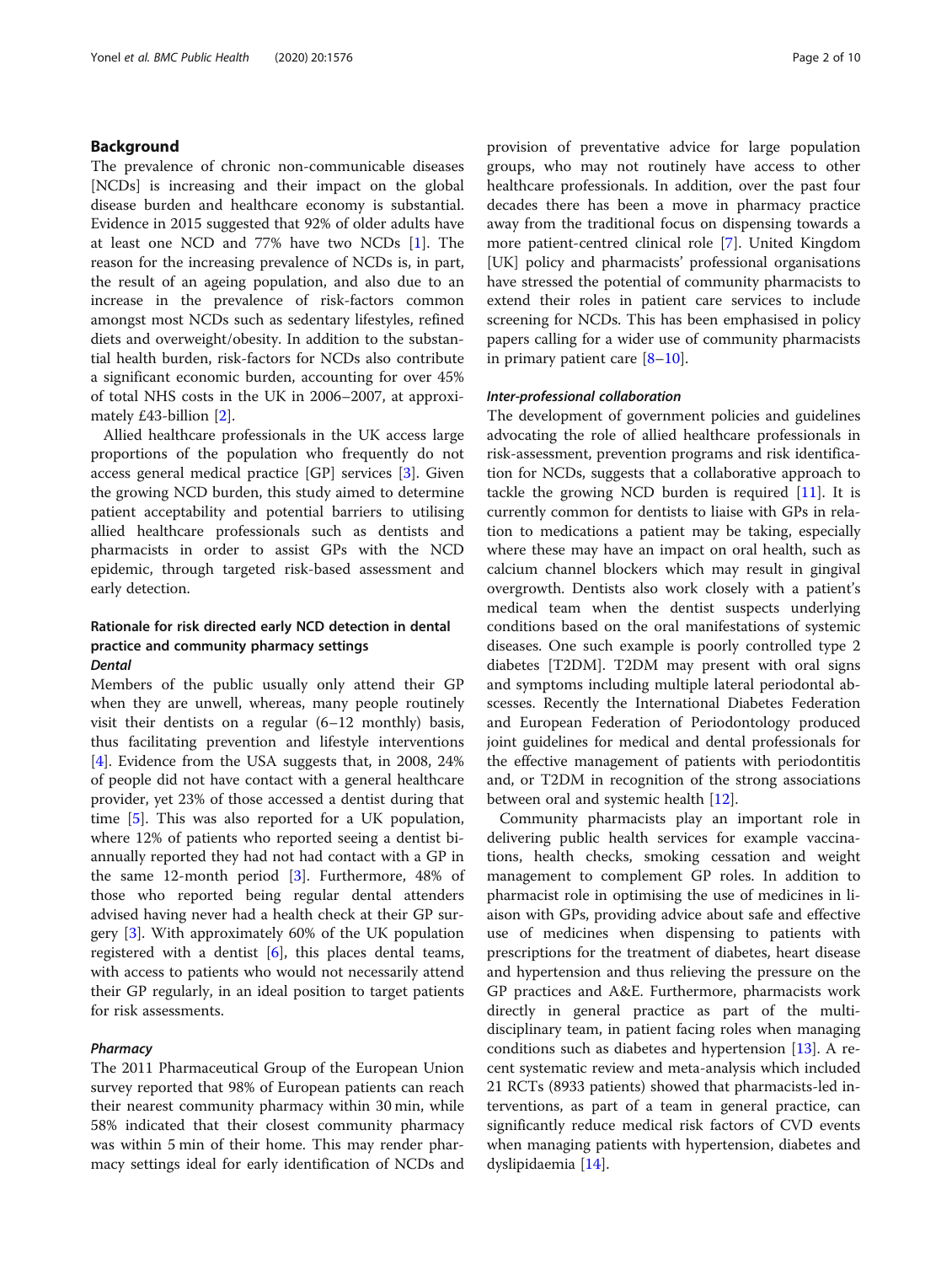# Background

The prevalence of chronic non-communicable diseases [NCDs] is increasing and their impact on the global disease burden and healthcare economy is substantial. Evidence in 2015 suggested that 92% of older adults have at least one NCD and 77% have two NCDs [[1\]](#page-8-0). The reason for the increasing prevalence of NCDs is, in part, the result of an ageing population, and also due to an increase in the prevalence of risk-factors common amongst most NCDs such as sedentary lifestyles, refined diets and overweight/obesity. In addition to the substantial health burden, risk-factors for NCDs also contribute a significant economic burden, accounting for over 45% of total NHS costs in the UK in 2006–2007, at approximately £43-billion [\[2\]](#page-8-0).

Allied healthcare professionals in the UK access large proportions of the population who frequently do not access general medical practice [GP] services [\[3](#page-8-0)]. Given the growing NCD burden, this study aimed to determine patient acceptability and potential barriers to utilising allied healthcare professionals such as dentists and pharmacists in order to assist GPs with the NCD epidemic, through targeted risk-based assessment and early detection.

# Rationale for risk directed early NCD detection in dental practice and community pharmacy settings **Dental**

Members of the public usually only attend their GP when they are unwell, whereas, many people routinely visit their dentists on a regular (6–12 monthly) basis, thus facilitating prevention and lifestyle interventions [[4\]](#page-8-0). Evidence from the USA suggests that, in 2008, 24% of people did not have contact with a general healthcare provider, yet 23% of those accessed a dentist during that time [[5\]](#page-9-0). This was also reported for a UK population, where 12% of patients who reported seeing a dentist biannually reported they had not had contact with a GP in the same 12-month period [[3\]](#page-8-0). Furthermore, 48% of those who reported being regular dental attenders advised having never had a health check at their GP surgery [[3\]](#page-8-0). With approximately 60% of the UK population registered with a dentist  $[6]$  $[6]$ , this places dental teams, with access to patients who would not necessarily attend their GP regularly, in an ideal position to target patients for risk assessments.

# **Pharmacy**

The 2011 Pharmaceutical Group of the European Union survey reported that 98% of European patients can reach their nearest community pharmacy within 30 min, while 58% indicated that their closest community pharmacy was within 5 min of their home. This may render pharmacy settings ideal for early identification of NCDs and provision of preventative advice for large population groups, who may not routinely have access to other healthcare professionals. In addition, over the past four decades there has been a move in pharmacy practice away from the traditional focus on dispensing towards a more patient-centred clinical role [[7\]](#page-9-0). United Kingdom [UK] policy and pharmacists' professional organisations have stressed the potential of community pharmacists to extend their roles in patient care services to include screening for NCDs. This has been emphasised in policy papers calling for a wider use of community pharmacists in primary patient care  $[8-10]$  $[8-10]$  $[8-10]$  $[8-10]$ .

# Inter-professional collaboration

The development of government policies and guidelines advocating the role of allied healthcare professionals in risk-assessment, prevention programs and risk identification for NCDs, suggests that a collaborative approach to tackle the growing NCD burden is required  $[11]$  $[11]$ . It is currently common for dentists to liaise with GPs in relation to medications a patient may be taking, especially where these may have an impact on oral health, such as calcium channel blockers which may result in gingival overgrowth. Dentists also work closely with a patient's medical team when the dentist suspects underlying conditions based on the oral manifestations of systemic diseases. One such example is poorly controlled type 2 diabetes [T2DM]. T2DM may present with oral signs and symptoms including multiple lateral periodontal abscesses. Recently the International Diabetes Federation and European Federation of Periodontology produced joint guidelines for medical and dental professionals for the effective management of patients with periodontitis and, or T2DM in recognition of the strong associations between oral and systemic health [[12\]](#page-9-0).

Community pharmacists play an important role in delivering public health services for example vaccinations, health checks, smoking cessation and weight management to complement GP roles. In addition to pharmacist role in optimising the use of medicines in liaison with GPs, providing advice about safe and effective use of medicines when dispensing to patients with prescriptions for the treatment of diabetes, heart disease and hypertension and thus relieving the pressure on the GP practices and A&E. Furthermore, pharmacists work directly in general practice as part of the multidisciplinary team, in patient facing roles when managing conditions such as diabetes and hypertension [\[13](#page-9-0)]. A recent systematic review and meta-analysis which included 21 RCTs (8933 patients) showed that pharmacists-led interventions, as part of a team in general practice, can significantly reduce medical risk factors of CVD events when managing patients with hypertension, diabetes and dyslipidaemia [\[14](#page-9-0)].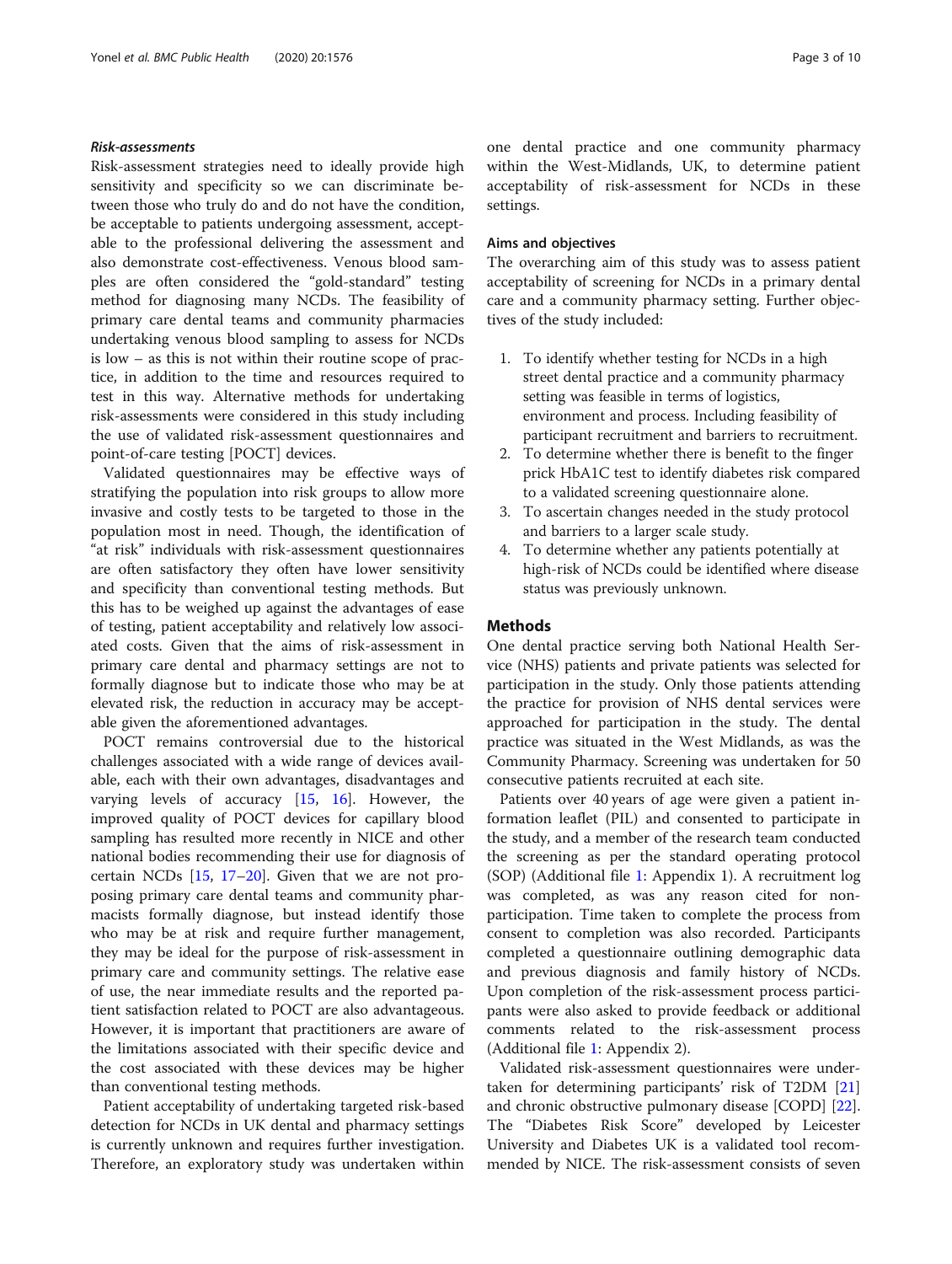# Risk-assessments

Risk-assessment strategies need to ideally provide high sensitivity and specificity so we can discriminate between those who truly do and do not have the condition, be acceptable to patients undergoing assessment, acceptable to the professional delivering the assessment and also demonstrate cost-effectiveness. Venous blood samples are often considered the "gold-standard" testing method for diagnosing many NCDs. The feasibility of primary care dental teams and community pharmacies undertaking venous blood sampling to assess for NCDs is low – as this is not within their routine scope of practice, in addition to the time and resources required to test in this way. Alternative methods for undertaking risk-assessments were considered in this study including the use of validated risk-assessment questionnaires and point-of-care testing [POCT] devices.

Validated questionnaires may be effective ways of stratifying the population into risk groups to allow more invasive and costly tests to be targeted to those in the population most in need. Though, the identification of "at risk" individuals with risk-assessment questionnaires are often satisfactory they often have lower sensitivity and specificity than conventional testing methods. But this has to be weighed up against the advantages of ease of testing, patient acceptability and relatively low associated costs. Given that the aims of risk-assessment in primary care dental and pharmacy settings are not to formally diagnose but to indicate those who may be at elevated risk, the reduction in accuracy may be acceptable given the aforementioned advantages.

POCT remains controversial due to the historical challenges associated with a wide range of devices available, each with their own advantages, disadvantages and varying levels of accuracy  $[15, 16]$  $[15, 16]$  $[15, 16]$  $[15, 16]$  $[15, 16]$ . However, the improved quality of POCT devices for capillary blood sampling has resulted more recently in NICE and other national bodies recommending their use for diagnosis of certain NCDs [[15,](#page-9-0) [17](#page-9-0)–[20\]](#page-9-0). Given that we are not proposing primary care dental teams and community pharmacists formally diagnose, but instead identify those who may be at risk and require further management, they may be ideal for the purpose of risk-assessment in primary care and community settings. The relative ease of use, the near immediate results and the reported patient satisfaction related to POCT are also advantageous. However, it is important that practitioners are aware of the limitations associated with their specific device and the cost associated with these devices may be higher than conventional testing methods.

Patient acceptability of undertaking targeted risk-based detection for NCDs in UK dental and pharmacy settings is currently unknown and requires further investigation. Therefore, an exploratory study was undertaken within one dental practice and one community pharmacy within the West-Midlands, UK, to determine patient acceptability of risk-assessment for NCDs in these settings.

# Aims and objectives

The overarching aim of this study was to assess patient acceptability of screening for NCDs in a primary dental care and a community pharmacy setting. Further objectives of the study included:

- 1. To identify whether testing for NCDs in a high street dental practice and a community pharmacy setting was feasible in terms of logistics, environment and process. Including feasibility of participant recruitment and barriers to recruitment.
- 2. To determine whether there is benefit to the finger prick HbA1C test to identify diabetes risk compared to a validated screening questionnaire alone.
- 3. To ascertain changes needed in the study protocol and barriers to a larger scale study.
- 4. To determine whether any patients potentially at high-risk of NCDs could be identified where disease status was previously unknown.

# **Methods**

One dental practice serving both National Health Service (NHS) patients and private patients was selected for participation in the study. Only those patients attending the practice for provision of NHS dental services were approached for participation in the study. The dental practice was situated in the West Midlands, as was the Community Pharmacy. Screening was undertaken for 50 consecutive patients recruited at each site.

Patients over 40 years of age were given a patient information leaflet (PIL) and consented to participate in the study, and a member of the research team conducted the screening as per the standard operating protocol (SOP) (Additional file [1:](#page-8-0) Appendix 1). A recruitment log was completed, as was any reason cited for nonparticipation. Time taken to complete the process from consent to completion was also recorded. Participants completed a questionnaire outlining demographic data and previous diagnosis and family history of NCDs. Upon completion of the risk-assessment process participants were also asked to provide feedback or additional comments related to the risk-assessment process (Additional file [1](#page-8-0): Appendix 2).

Validated risk-assessment questionnaires were undertaken for determining participants' risk of T2DM [[21](#page-9-0)] and chronic obstructive pulmonary disease [COPD] [\[22](#page-9-0)]. The "Diabetes Risk Score" developed by Leicester University and Diabetes UK is a validated tool recommended by NICE. The risk-assessment consists of seven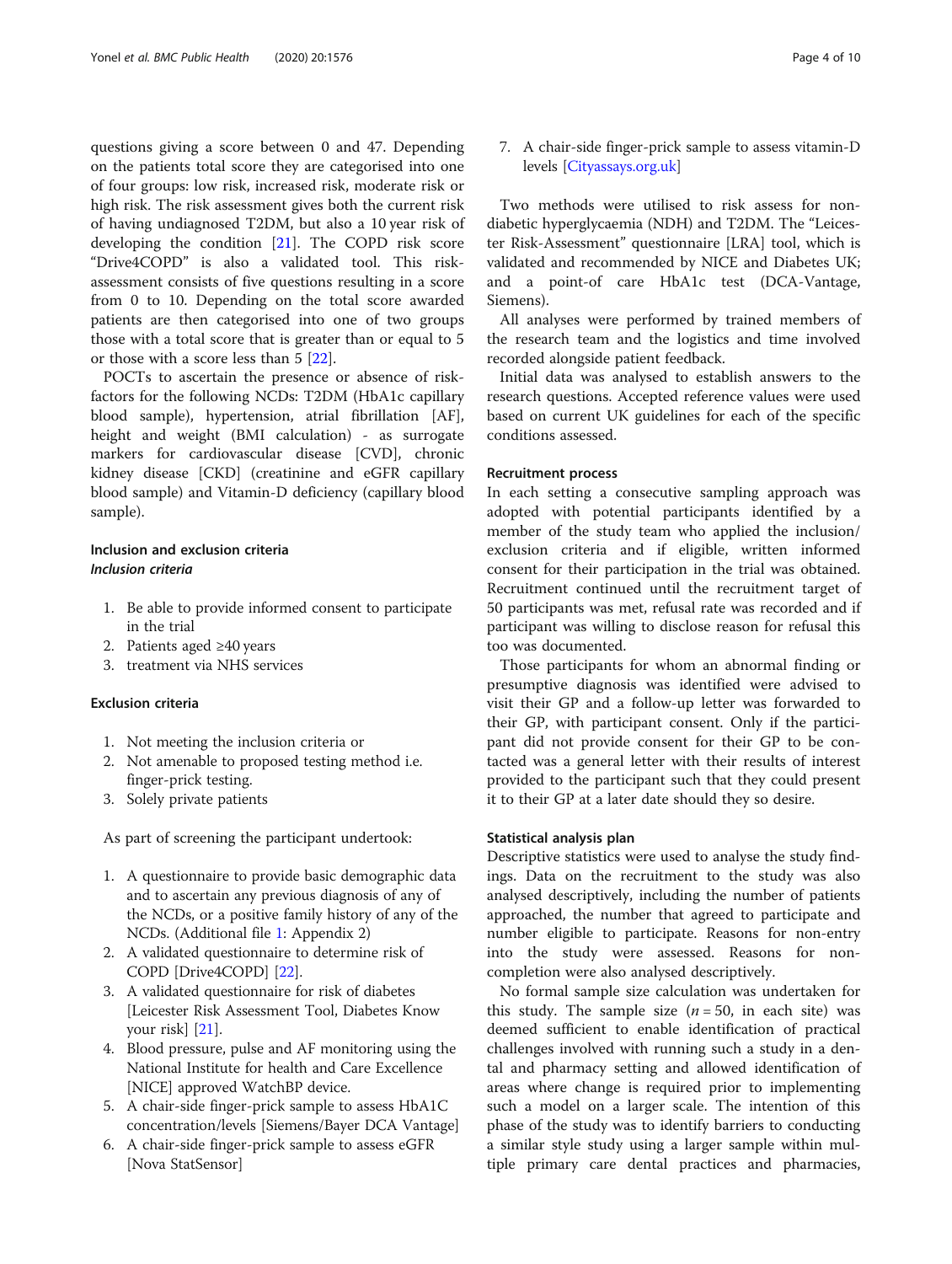questions giving a score between 0 and 47. Depending on the patients total score they are categorised into one of four groups: low risk, increased risk, moderate risk or high risk. The risk assessment gives both the current risk of having undiagnosed T2DM, but also a 10 year risk of developing the condition [[21\]](#page-9-0). The COPD risk score "Drive4COPD" is also a validated tool. This riskassessment consists of five questions resulting in a score from 0 to 10. Depending on the total score awarded patients are then categorised into one of two groups those with a total score that is greater than or equal to 5 or those with a score less than 5 [\[22](#page-9-0)].

POCTs to ascertain the presence or absence of riskfactors for the following NCDs: T2DM (HbA1c capillary blood sample), hypertension, atrial fibrillation [AF], height and weight (BMI calculation) - as surrogate markers for cardiovascular disease [CVD], chronic kidney disease [CKD] (creatinine and eGFR capillary blood sample) and Vitamin-D deficiency (capillary blood sample).

# Inclusion and exclusion criteria Inclusion criteria

- 1. Be able to provide informed consent to participate in the trial
- 2. Patients aged ≥40 years
- 3. treatment via NHS services

# Exclusion criteria

- 1. Not meeting the inclusion criteria or
- 2. Not amenable to proposed testing method i.e. finger-prick testing.
- 3. Solely private patients

As part of screening the participant undertook:

- 1. A questionnaire to provide basic demographic data and to ascertain any previous diagnosis of any of the NCDs, or a positive family history of any of the NCDs. (Additional file [1](#page-8-0): Appendix 2)
- 2. A validated questionnaire to determine risk of COPD [Drive4COPD] [[22](#page-9-0)].
- 3. A validated questionnaire for risk of diabetes [Leicester Risk Assessment Tool, Diabetes Know your risk $|21|$ .
- 4. Blood pressure, pulse and AF monitoring using the National Institute for health and Care Excellence [NICE] approved WatchBP device.
- 5. A chair-side finger-prick sample to assess HbA1C concentration/levels [Siemens/Bayer DCA Vantage]
- 6. A chair-side finger-prick sample to assess eGFR [Nova StatSensor]

7. A chair-side finger-prick sample to assess vitamin-D levels [\[Cityassays.org.uk](http://cityassays.org.uk)]

Two methods were utilised to risk assess for nondiabetic hyperglycaemia (NDH) and T2DM. The "Leicester Risk-Assessment" questionnaire [LRA] tool, which is validated and recommended by NICE and Diabetes UK; and a point-of care HbA1c test (DCA-Vantage, Siemens).

All analyses were performed by trained members of the research team and the logistics and time involved recorded alongside patient feedback.

Initial data was analysed to establish answers to the research questions. Accepted reference values were used based on current UK guidelines for each of the specific conditions assessed.

# Recruitment process

In each setting a consecutive sampling approach was adopted with potential participants identified by a member of the study team who applied the inclusion/ exclusion criteria and if eligible, written informed consent for their participation in the trial was obtained. Recruitment continued until the recruitment target of 50 participants was met, refusal rate was recorded and if participant was willing to disclose reason for refusal this too was documented.

Those participants for whom an abnormal finding or presumptive diagnosis was identified were advised to visit their GP and a follow-up letter was forwarded to their GP, with participant consent. Only if the participant did not provide consent for their GP to be contacted was a general letter with their results of interest provided to the participant such that they could present it to their GP at a later date should they so desire.

# Statistical analysis plan

Descriptive statistics were used to analyse the study findings. Data on the recruitment to the study was also analysed descriptively, including the number of patients approached, the number that agreed to participate and number eligible to participate. Reasons for non-entry into the study were assessed. Reasons for noncompletion were also analysed descriptively.

No formal sample size calculation was undertaken for this study. The sample size  $(n = 50, \text{ in each site})$  was deemed sufficient to enable identification of practical challenges involved with running such a study in a dental and pharmacy setting and allowed identification of areas where change is required prior to implementing such a model on a larger scale. The intention of this phase of the study was to identify barriers to conducting a similar style study using a larger sample within multiple primary care dental practices and pharmacies,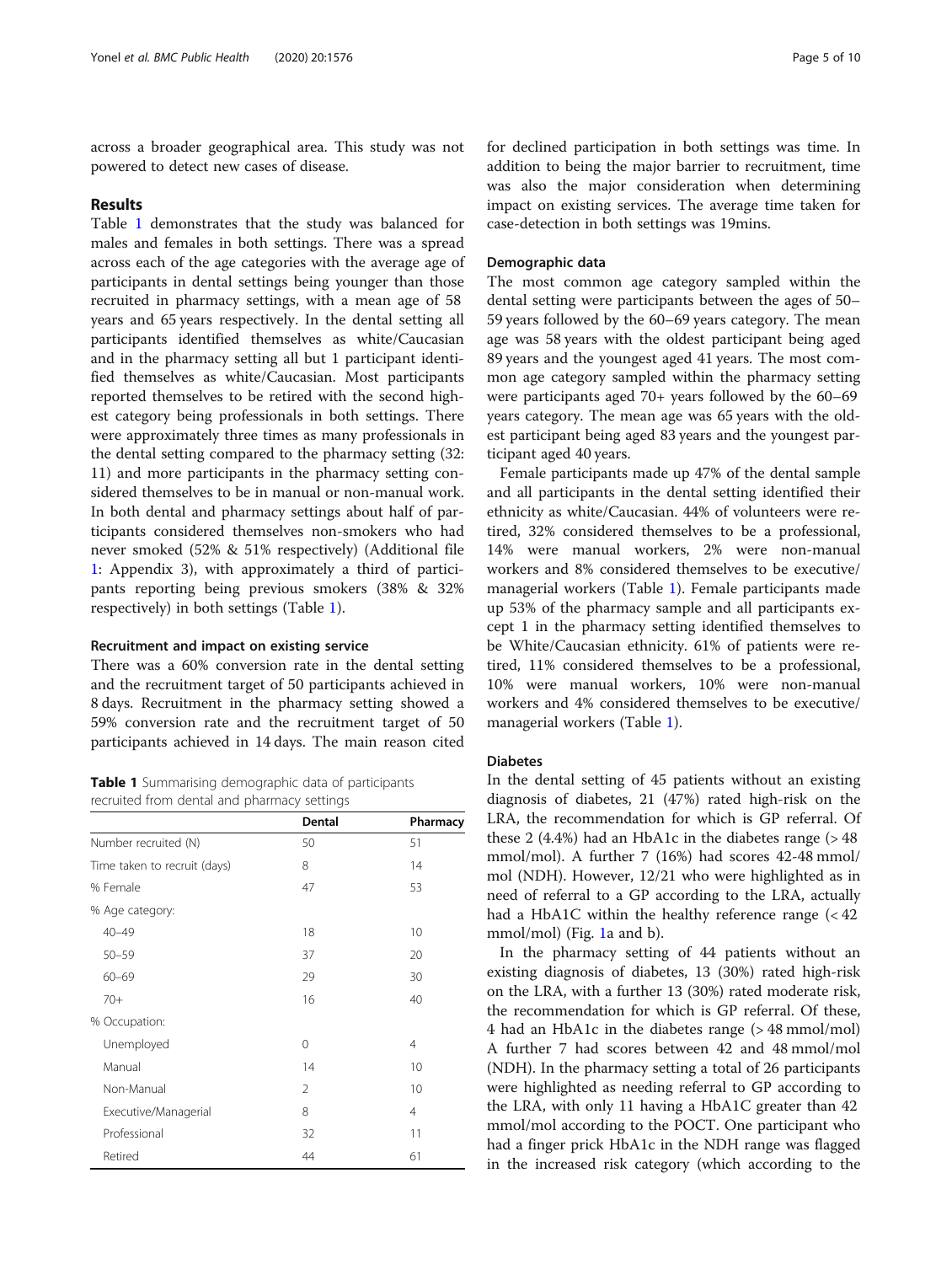across a broader geographical area. This study was not powered to detect new cases of disease.

# Results

Table 1 demonstrates that the study was balanced for males and females in both settings. There was a spread across each of the age categories with the average age of participants in dental settings being younger than those recruited in pharmacy settings, with a mean age of 58 years and 65 years respectively. In the dental setting all participants identified themselves as white/Caucasian and in the pharmacy setting all but 1 participant identified themselves as white/Caucasian. Most participants reported themselves to be retired with the second highest category being professionals in both settings. There were approximately three times as many professionals in the dental setting compared to the pharmacy setting (32: 11) and more participants in the pharmacy setting considered themselves to be in manual or non-manual work. In both dental and pharmacy settings about half of participants considered themselves non-smokers who had never smoked (52% & 51% respectively) (Additional file [1:](#page-8-0) Appendix 3), with approximately a third of participants reporting being previous smokers (38% & 32% respectively) in both settings (Table 1).

# Recruitment and impact on existing service

There was a 60% conversion rate in the dental setting and the recruitment target of 50 participants achieved in 8 days. Recruitment in the pharmacy setting showed a 59% conversion rate and the recruitment target of 50 participants achieved in 14 days. The main reason cited

Table 1 Summarising demographic data of participants recruited from dental and pharmacy settings

|                              | Dental         | Pharmacy |
|------------------------------|----------------|----------|
| Number recruited (N)         | 50             | 51       |
| Time taken to recruit (days) | 8              | 14       |
| % Female                     | 47             | 53       |
| % Age category:              |                |          |
| $40 - 49$                    | 18             | 10       |
| $50 - 59$                    | 37             | 20       |
| $60 - 69$                    | 29             | 30       |
| $70+$                        | 16             | 40       |
| % Occupation:                |                |          |
| Unemployed                   | 0              | 4        |
| Manual                       | 14             | 10       |
| Non-Manual                   | $\mathfrak{D}$ | 10       |
| Executive/Managerial         | 8              | 4        |
| Professional                 | 32             | 11       |
| Retired                      | 44             | 61       |

for declined participation in both settings was time. In addition to being the major barrier to recruitment, time was also the major consideration when determining impact on existing services. The average time taken for case-detection in both settings was 19mins.

# Demographic data

The most common age category sampled within the dental setting were participants between the ages of 50– 59 years followed by the 60–69 years category. The mean age was 58 years with the oldest participant being aged 89 years and the youngest aged 41 years. The most common age category sampled within the pharmacy setting were participants aged 70+ years followed by the 60–69 years category. The mean age was 65 years with the oldest participant being aged 83 years and the youngest participant aged 40 years.

Female participants made up 47% of the dental sample and all participants in the dental setting identified their ethnicity as white/Caucasian. 44% of volunteers were retired, 32% considered themselves to be a professional, 14% were manual workers, 2% were non-manual workers and 8% considered themselves to be executive/ managerial workers (Table 1). Female participants made up 53% of the pharmacy sample and all participants except 1 in the pharmacy setting identified themselves to be White/Caucasian ethnicity. 61% of patients were retired, 11% considered themselves to be a professional, 10% were manual workers, 10% were non-manual workers and 4% considered themselves to be executive/ managerial workers (Table 1).

# Diabetes

In the dental setting of 45 patients without an existing diagnosis of diabetes, 21 (47%) rated high-risk on the LRA, the recommendation for which is GP referral. Of these 2  $(4.4\%)$  had an HbA1c in the diabetes range ( $> 48$ ) mmol/mol). A further 7 (16%) had scores 42-48 mmol/ mol (NDH). However, 12/21 who were highlighted as in need of referral to a GP according to the LRA, actually had a HbA1C within the healthy reference range (< 42 mmol/mol) (Fig. [1a](#page-5-0) and b).

In the pharmacy setting of 44 patients without an existing diagnosis of diabetes, 13 (30%) rated high-risk on the LRA, with a further 13 (30%) rated moderate risk, the recommendation for which is GP referral. Of these, 4 had an HbA1c in the diabetes range (> 48 mmol/mol) A further 7 had scores between 42 and 48 mmol/mol (NDH). In the pharmacy setting a total of 26 participants were highlighted as needing referral to GP according to the LRA, with only 11 having a HbA1C greater than 42 mmol/mol according to the POCT. One participant who had a finger prick HbA1c in the NDH range was flagged in the increased risk category (which according to the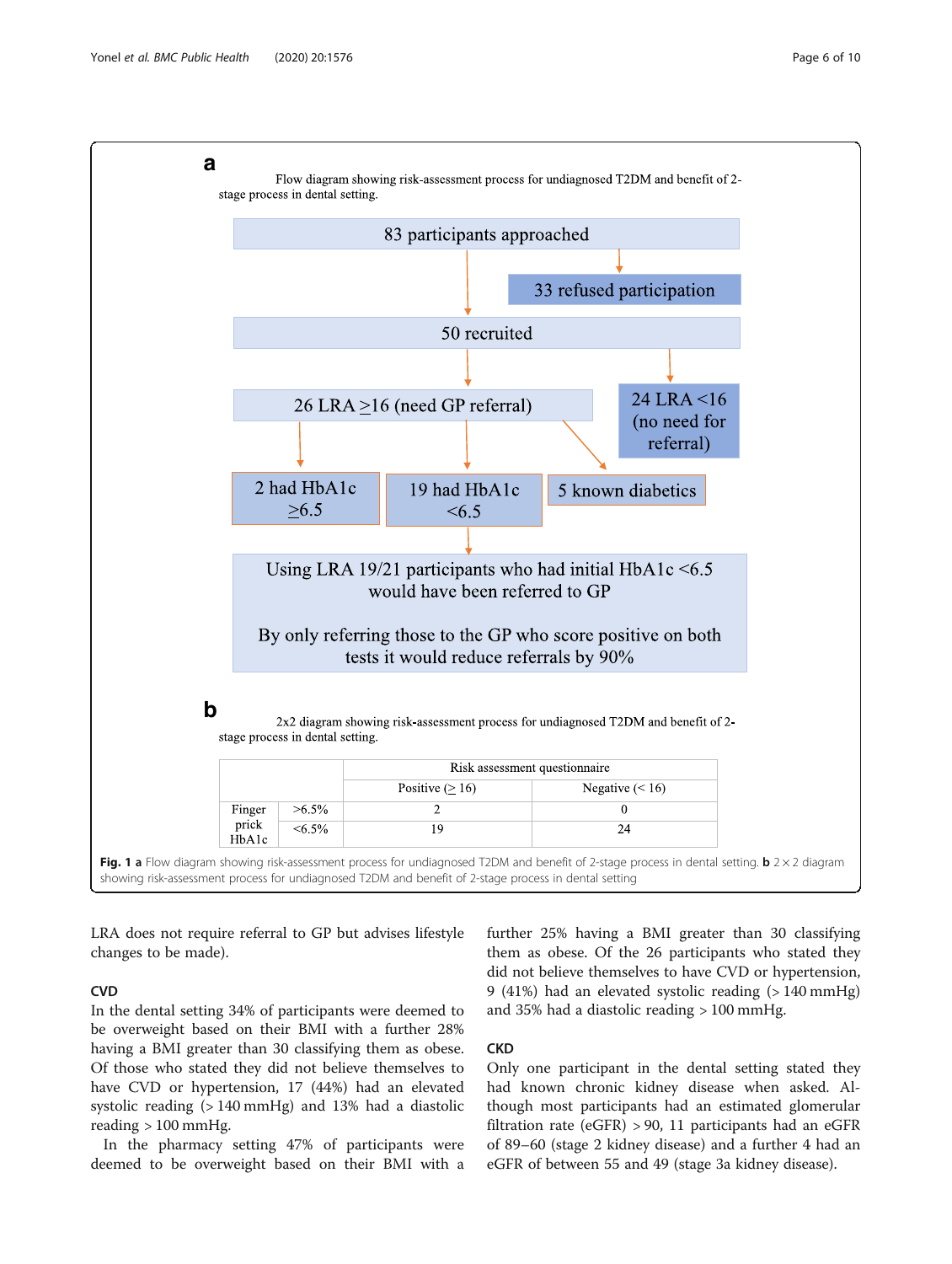<span id="page-5-0"></span>

LRA does not require referral to GP but advises lifestyle changes to be made).

# **CVD**

In the dental setting 34% of participants were deemed to be overweight based on their BMI with a further 28% having a BMI greater than 30 classifying them as obese. Of those who stated they did not believe themselves to have CVD or hypertension, 17 (44%) had an elevated systolic reading (> 140 mmHg) and 13% had a diastolic reading > 100 mmHg.

In the pharmacy setting 47% of participants were deemed to be overweight based on their BMI with a further 25% having a BMI greater than 30 classifying them as obese. Of the 26 participants who stated they did not believe themselves to have CVD or hypertension, 9 (41%) had an elevated systolic reading (> 140 mmHg) and 35% had a diastolic reading > 100 mmHg.

# CKD

Only one participant in the dental setting stated they had known chronic kidney disease when asked. Although most participants had an estimated glomerular filtration rate (eGFR) > 90, 11 participants had an eGFR of 89–60 (stage 2 kidney disease) and a further 4 had an eGFR of between 55 and 49 (stage 3a kidney disease).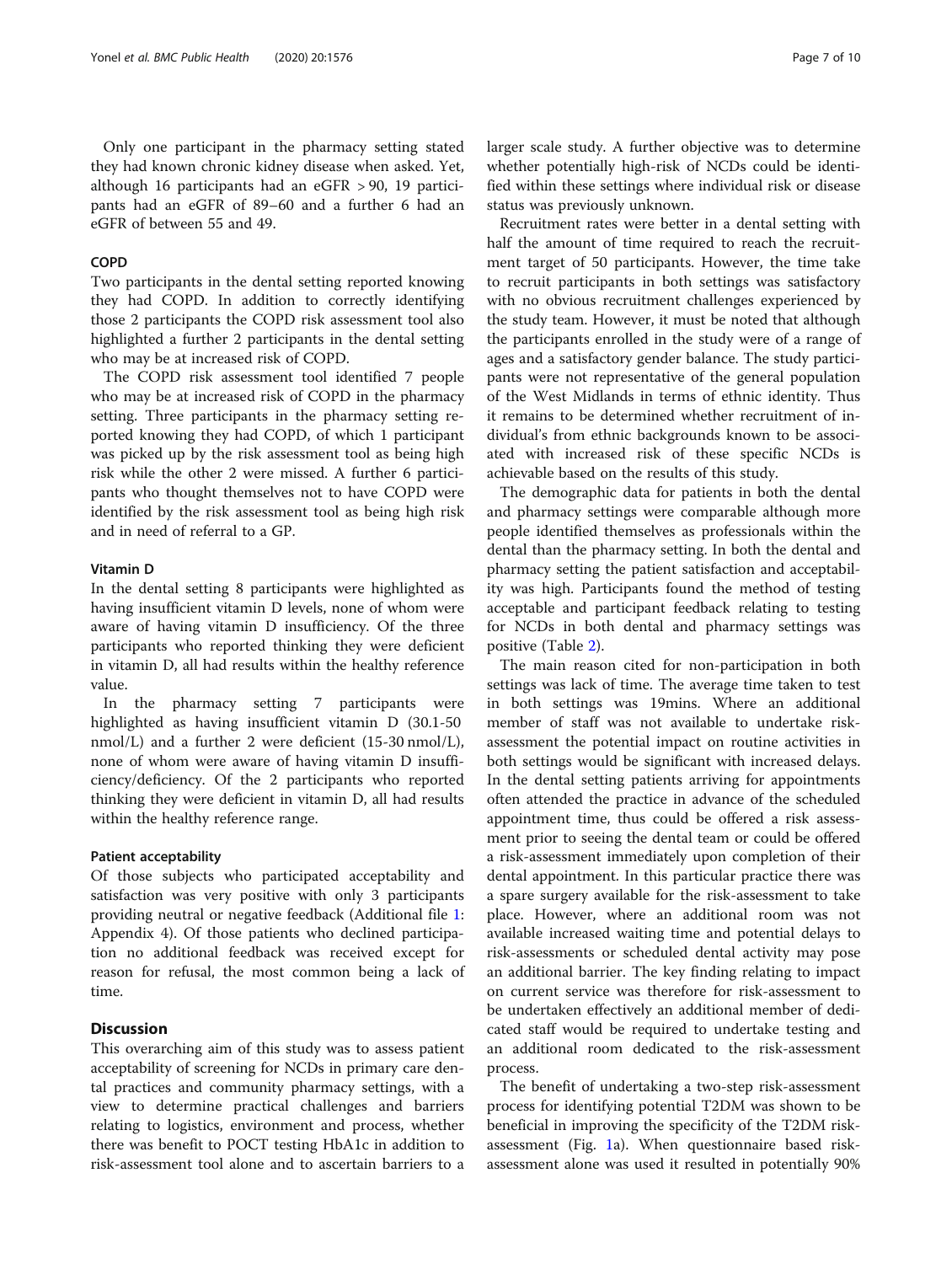Only one participant in the pharmacy setting stated they had known chronic kidney disease when asked. Yet, although 16 participants had an eGFR > 90, 19 participants had an eGFR of 89–60 and a further 6 had an eGFR of between 55 and 49.

# COPD

Two participants in the dental setting reported knowing they had COPD. In addition to correctly identifying those 2 participants the COPD risk assessment tool also highlighted a further 2 participants in the dental setting who may be at increased risk of COPD.

The COPD risk assessment tool identified 7 people who may be at increased risk of COPD in the pharmacy setting. Three participants in the pharmacy setting reported knowing they had COPD, of which 1 participant was picked up by the risk assessment tool as being high risk while the other 2 were missed. A further 6 participants who thought themselves not to have COPD were identified by the risk assessment tool as being high risk and in need of referral to a GP.

# Vitamin D

In the dental setting 8 participants were highlighted as having insufficient vitamin D levels, none of whom were aware of having vitamin D insufficiency. Of the three participants who reported thinking they were deficient in vitamin D, all had results within the healthy reference value.

In the pharmacy setting 7 participants were highlighted as having insufficient vitamin D (30.1-50 nmol/L) and a further 2 were deficient (15-30 nmol/L), none of whom were aware of having vitamin D insufficiency/deficiency. Of the 2 participants who reported thinking they were deficient in vitamin D, all had results within the healthy reference range.

# Patient acceptability

Of those subjects who participated acceptability and satisfaction was very positive with only 3 participants providing neutral or negative feedback (Additional file [1](#page-8-0): Appendix 4). Of those patients who declined participation no additional feedback was received except for reason for refusal, the most common being a lack of time.

# **Discussion**

This overarching aim of this study was to assess patient acceptability of screening for NCDs in primary care dental practices and community pharmacy settings, with a view to determine practical challenges and barriers relating to logistics, environment and process, whether there was benefit to POCT testing HbA1c in addition to risk-assessment tool alone and to ascertain barriers to a larger scale study. A further objective was to determine whether potentially high-risk of NCDs could be identified within these settings where individual risk or disease status was previously unknown.

Recruitment rates were better in a dental setting with half the amount of time required to reach the recruitment target of 50 participants. However, the time take to recruit participants in both settings was satisfactory with no obvious recruitment challenges experienced by the study team. However, it must be noted that although the participants enrolled in the study were of a range of ages and a satisfactory gender balance. The study participants were not representative of the general population of the West Midlands in terms of ethnic identity. Thus it remains to be determined whether recruitment of individual's from ethnic backgrounds known to be associated with increased risk of these specific NCDs is achievable based on the results of this study.

The demographic data for patients in both the dental and pharmacy settings were comparable although more people identified themselves as professionals within the dental than the pharmacy setting. In both the dental and pharmacy setting the patient satisfaction and acceptability was high. Participants found the method of testing acceptable and participant feedback relating to testing for NCDs in both dental and pharmacy settings was positive (Table [2\)](#page-8-0).

The main reason cited for non-participation in both settings was lack of time. The average time taken to test in both settings was 19mins. Where an additional member of staff was not available to undertake riskassessment the potential impact on routine activities in both settings would be significant with increased delays. In the dental setting patients arriving for appointments often attended the practice in advance of the scheduled appointment time, thus could be offered a risk assessment prior to seeing the dental team or could be offered a risk-assessment immediately upon completion of their dental appointment. In this particular practice there was a spare surgery available for the risk-assessment to take place. However, where an additional room was not available increased waiting time and potential delays to risk-assessments or scheduled dental activity may pose an additional barrier. The key finding relating to impact on current service was therefore for risk-assessment to be undertaken effectively an additional member of dedicated staff would be required to undertake testing and an additional room dedicated to the risk-assessment process.

The benefit of undertaking a two-step risk-assessment process for identifying potential T2DM was shown to be beneficial in improving the specificity of the T2DM riskassessment (Fig. [1a](#page-5-0)). When questionnaire based riskassessment alone was used it resulted in potentially 90%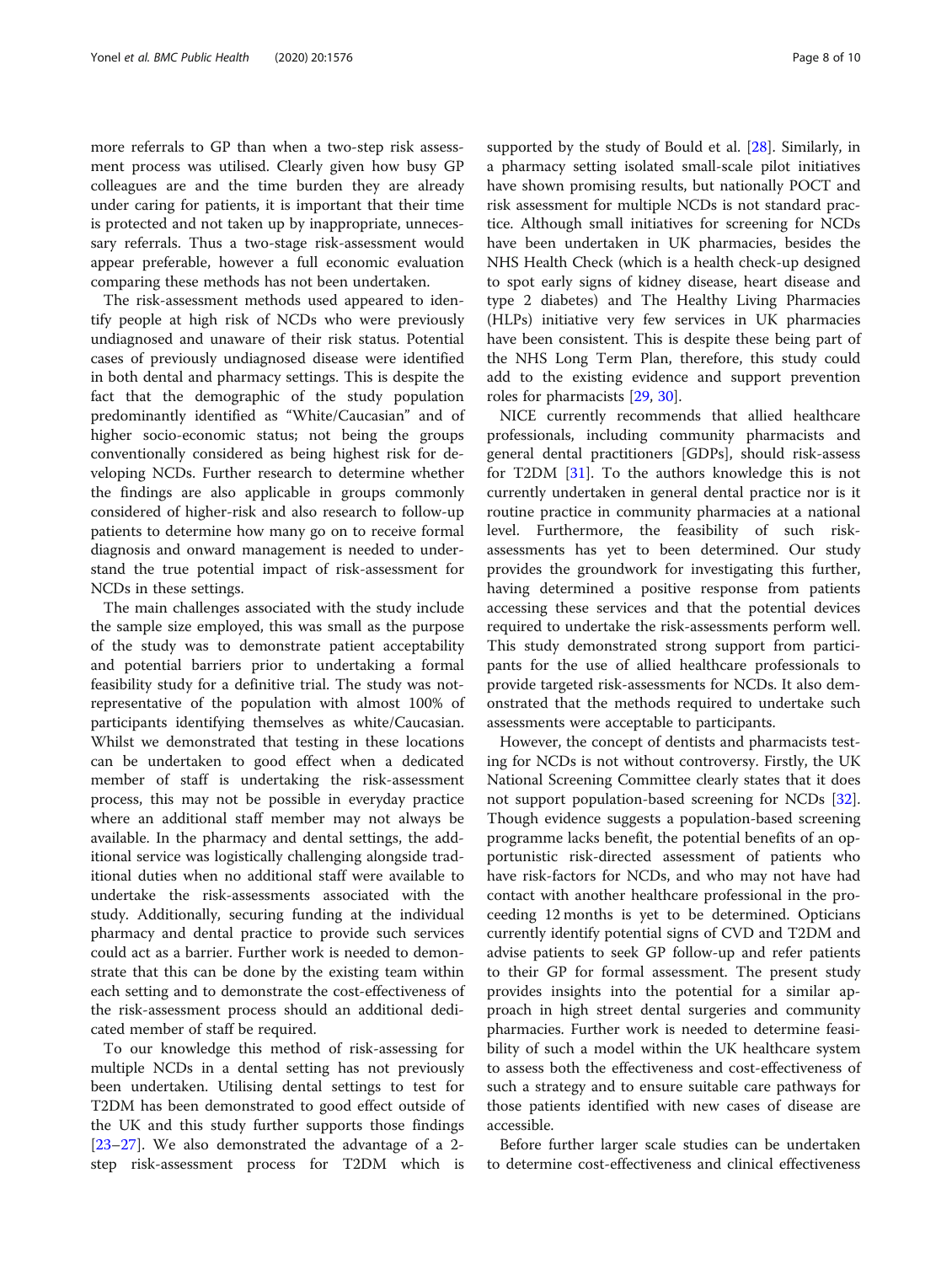more referrals to GP than when a two-step risk assessment process was utilised. Clearly given how busy GP colleagues are and the time burden they are already under caring for patients, it is important that their time is protected and not taken up by inappropriate, unnecessary referrals. Thus a two-stage risk-assessment would appear preferable, however a full economic evaluation comparing these methods has not been undertaken.

The risk-assessment methods used appeared to identify people at high risk of NCDs who were previously undiagnosed and unaware of their risk status. Potential cases of previously undiagnosed disease were identified in both dental and pharmacy settings. This is despite the fact that the demographic of the study population predominantly identified as "White/Caucasian" and of higher socio-economic status; not being the groups conventionally considered as being highest risk for developing NCDs. Further research to determine whether the findings are also applicable in groups commonly considered of higher-risk and also research to follow-up patients to determine how many go on to receive formal diagnosis and onward management is needed to understand the true potential impact of risk-assessment for NCDs in these settings.

The main challenges associated with the study include the sample size employed, this was small as the purpose of the study was to demonstrate patient acceptability and potential barriers prior to undertaking a formal feasibility study for a definitive trial. The study was notrepresentative of the population with almost 100% of participants identifying themselves as white/Caucasian. Whilst we demonstrated that testing in these locations can be undertaken to good effect when a dedicated member of staff is undertaking the risk-assessment process, this may not be possible in everyday practice where an additional staff member may not always be available. In the pharmacy and dental settings, the additional service was logistically challenging alongside traditional duties when no additional staff were available to undertake the risk-assessments associated with the study. Additionally, securing funding at the individual pharmacy and dental practice to provide such services could act as a barrier. Further work is needed to demonstrate that this can be done by the existing team within each setting and to demonstrate the cost-effectiveness of the risk-assessment process should an additional dedicated member of staff be required.

To our knowledge this method of risk-assessing for multiple NCDs in a dental setting has not previously been undertaken. Utilising dental settings to test for T2DM has been demonstrated to good effect outside of the UK and this study further supports those findings [[23](#page-9-0)–[27](#page-9-0)]. We also demonstrated the advantage of a 2 step risk-assessment process for T2DM which is supported by the study of Bould et al. [\[28](#page-9-0)]. Similarly, in a pharmacy setting isolated small-scale pilot initiatives have shown promising results, but nationally POCT and risk assessment for multiple NCDs is not standard practice. Although small initiatives for screening for NCDs have been undertaken in UK pharmacies, besides the NHS Health Check (which is a health check-up designed to spot early signs of kidney disease, heart disease and type 2 diabetes) and The Healthy Living Pharmacies (HLPs) initiative very few services in UK pharmacies have been consistent. This is despite these being part of the NHS Long Term Plan, therefore, this study could add to the existing evidence and support prevention roles for pharmacists [[29,](#page-9-0) [30\]](#page-9-0).

NICE currently recommends that allied healthcare professionals, including community pharmacists and general dental practitioners [GDPs], should risk-assess for T2DM [[31\]](#page-9-0). To the authors knowledge this is not currently undertaken in general dental practice nor is it routine practice in community pharmacies at a national level. Furthermore, the feasibility of such riskassessments has yet to been determined. Our study provides the groundwork for investigating this further, having determined a positive response from patients accessing these services and that the potential devices required to undertake the risk-assessments perform well. This study demonstrated strong support from participants for the use of allied healthcare professionals to provide targeted risk-assessments for NCDs. It also demonstrated that the methods required to undertake such assessments were acceptable to participants.

However, the concept of dentists and pharmacists testing for NCDs is not without controversy. Firstly, the UK National Screening Committee clearly states that it does not support population-based screening for NCDs [\[32](#page-9-0)]. Though evidence suggests a population-based screening programme lacks benefit, the potential benefits of an opportunistic risk-directed assessment of patients who have risk-factors for NCDs, and who may not have had contact with another healthcare professional in the proceeding 12 months is yet to be determined. Opticians currently identify potential signs of CVD and T2DM and advise patients to seek GP follow-up and refer patients to their GP for formal assessment. The present study provides insights into the potential for a similar approach in high street dental surgeries and community pharmacies. Further work is needed to determine feasibility of such a model within the UK healthcare system to assess both the effectiveness and cost-effectiveness of such a strategy and to ensure suitable care pathways for those patients identified with new cases of disease are accessible.

Before further larger scale studies can be undertaken to determine cost-effectiveness and clinical effectiveness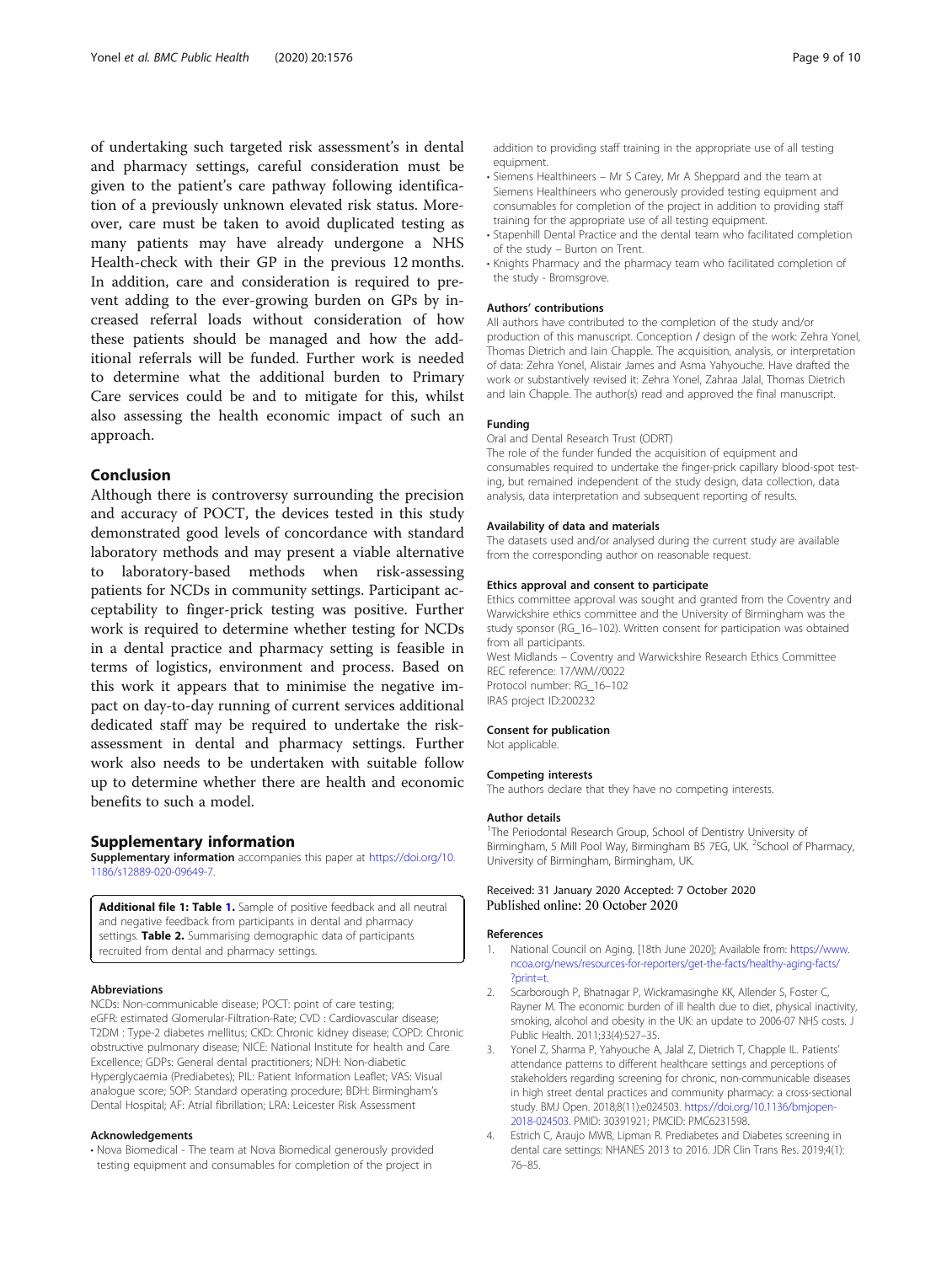<span id="page-8-0"></span>of undertaking such targeted risk assessment's in dental and pharmacy settings, careful consideration must be given to the patient's care pathway following identification of a previously unknown elevated risk status. Moreover, care must be taken to avoid duplicated testing as many patients may have already undergone a NHS Health-check with their GP in the previous 12 months. In addition, care and consideration is required to prevent adding to the ever-growing burden on GPs by increased referral loads without consideration of how these patients should be managed and how the additional referrals will be funded. Further work is needed to determine what the additional burden to Primary Care services could be and to mitigate for this, whilst also assessing the health economic impact of such an approach.

# Conclusion

Although there is controversy surrounding the precision and accuracy of POCT, the devices tested in this study demonstrated good levels of concordance with standard laboratory methods and may present a viable alternative to laboratory-based methods when risk-assessing patients for NCDs in community settings. Participant acceptability to finger-prick testing was positive. Further work is required to determine whether testing for NCDs in a dental practice and pharmacy setting is feasible in terms of logistics, environment and process. Based on this work it appears that to minimise the negative impact on day-to-day running of current services additional dedicated staff may be required to undertake the riskassessment in dental and pharmacy settings. Further work also needs to be undertaken with suitable follow up to determine whether there are health and economic benefits to such a model.

#### Supplementary information

Supplementary information accompanies this paper at [https://doi.org/10.](https://doi.org/10.1186/s12889-020-09649-7) [1186/s12889-020-09649-7](https://doi.org/10.1186/s12889-020-09649-7).

Additional file 1: Table 1. Sample of positive feedback and all neutral and negative feedback from participants in dental and pharmacy settings. Table 2. Summarising demographic data of participants recruited from dental and pharmacy settings.

#### Abbreviations

NCDs: Non-communicable disease; POCT: point of care testing; eGFR: estimated Glomerular-Filtration-Rate; CVD : Cardiovascular disease; T2DM : Type-2 diabetes mellitus; CKD: Chronic kidney disease; COPD: Chronic obstructive pulmonary disease; NICE: National Institute for health and Care Excellence; GDPs: General dental practitioners; NDH: Non-diabetic Hyperglycaemia (Prediabetes); PIL: Patient Information Leaflet; VAS: Visual analogue score; SOP: Standard operating procedure; BDH: Birmingham's Dental Hospital; AF: Atrial fibrillation; LRA: Leicester Risk Assessment

#### Acknowledgements

• Nova Biomedical - The team at Nova Biomedical generously provided testing equipment and consumables for completion of the project in

addition to providing staff training in the appropriate use of all testing equipment.

- Siemens Healthineers Mr S Carey, Mr A Sheppard and the team at Siemens Healthineers who generously provided testing equipment and consumables for completion of the project in addition to providing staff training for the appropriate use of all testing equipment.
- Stapenhill Dental Practice and the dental team who facilitated completion of the study – Burton on Trent.
- Knights Pharmacy and the pharmacy team who facilitated completion of the study - Bromsgrove.

#### Authors' contributions

All authors have contributed to the completion of the study and/or production of this manuscript. Conception / design of the work: Zehra Yonel, Thomas Dietrich and Iain Chapple. The acquisition, analysis, or interpretation of data: Zehra Yonel, Alistair James and Asma Yahyouche. Have drafted the work or substantively revised it: Zehra Yonel, Zahraa Jalal, Thomas Dietrich and Iain Chapple. The author(s) read and approved the final manuscript.

#### Funding

Oral and Dental Research Trust (ODRT)

The role of the funder funded the acquisition of equipment and consumables required to undertake the finger-prick capillary blood-spot testing, but remained independent of the study design, data collection, data analysis, data interpretation and subsequent reporting of results.

#### Availability of data and materials

The datasets used and/or analysed during the current study are available from the corresponding author on reasonable request.

#### Ethics approval and consent to participate

Ethics committee approval was sought and granted from the Coventry and Warwickshire ethics committee and the University of Birmingham was the study sponsor (RG\_16–102). Written consent for participation was obtained from all participants. West Midlands – Coventry and Warwickshire Research Ethics Committee

REC reference: 17/WM//0022 Protocol number: RG\_16–102 IRAS project ID:200232

#### Consent for publication

Not applicable.

#### Competing interests

The authors declare that they have no competing interests.

#### Author details

<sup>1</sup>The Periodontal Research Group, School of Dentistry University of Birmingham, 5 Mill Pool Way, Birmingham B5 7EG, UK. <sup>2</sup>School of Pharmacy University of Birmingham, Birmingham, UK.

# Received: 31 January 2020 Accepted: 7 October 2020 Published online: 20 October 2020

#### References

- 1. National Council on Aging. [18th June 2020]; Available from: [https://www.](https://www.ncoa.org/news/resources-for-reporters/get-the-facts/healthy-aging-facts/?print=t) [ncoa.org/news/resources-for-reporters/get-the-facts/healthy-aging-facts/](https://www.ncoa.org/news/resources-for-reporters/get-the-facts/healthy-aging-facts/?print=t) [?print=t](https://www.ncoa.org/news/resources-for-reporters/get-the-facts/healthy-aging-facts/?print=t).
- 2. Scarborough P, Bhatnagar P, Wickramasinghe KK, Allender S, Foster C, Rayner M. The economic burden of ill health due to diet, physical inactivity, smoking, alcohol and obesity in the UK: an update to 2006-07 NHS costs. J Public Health. 2011;33(4):527–35.
- 3. Yonel Z, Sharma P, Yahyouche A, Jalal Z, Dietrich T, Chapple IL. Patients' attendance patterns to different healthcare settings and perceptions of stakeholders regarding screening for chronic, non-communicable diseases in high street dental practices and community pharmacy: a cross-sectional study. BMJ Open. 2018;8(11):e024503. [https://doi.org/10.1136/bmjopen-](https://doi.org/10.1136/bmjopen-2018-024503)[2018-024503.](https://doi.org/10.1136/bmjopen-2018-024503) PMID: 30391921; PMCID: PMC6231598.
- 4. Estrich C, Araujo MWB, Lipman R. Prediabetes and Diabetes screening in dental care settings: NHANES 2013 to 2016. JDR Clin Trans Res. 2019;4(1): 76–85.